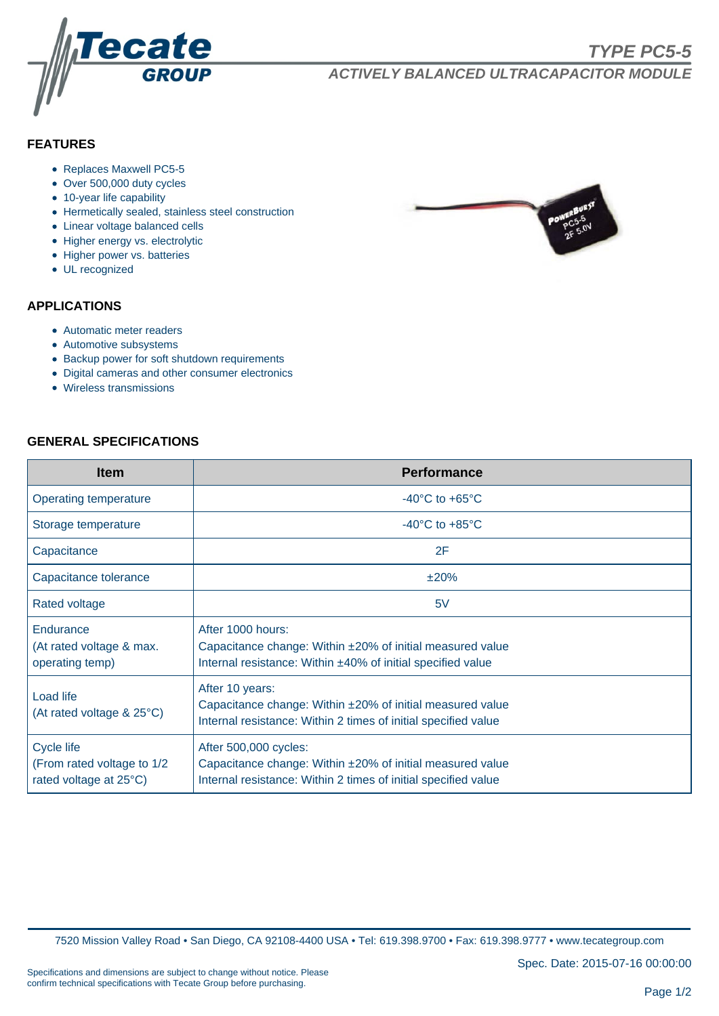

# **FEATURES**

- Replaces Maxwell PC5-5
- Over 500,000 duty cycles
- 10-year life capability
- Hermetically sealed, stainless steel construction
- Linear voltage balanced cells
- Higher energy vs. electrolytic
- Higher power vs. batteries
- UL recognized

### **APPLICATIONS**

- Automatic meter readers
- Automotive subsystems
- Backup power for soft shutdown requirements
- Digital cameras and other consumer electronics
- Wireless transmissions

### **GENERAL SPECIFICATIONS**

| <b>Item</b>                                                                | <b>Performance</b>                                                                                                                                   |  |  |  |  |  |
|----------------------------------------------------------------------------|------------------------------------------------------------------------------------------------------------------------------------------------------|--|--|--|--|--|
| Operating temperature                                                      | $-40^{\circ}$ C to $+65^{\circ}$ C                                                                                                                   |  |  |  |  |  |
| Storage temperature                                                        | $-40^{\circ}$ C to $+85^{\circ}$ C                                                                                                                   |  |  |  |  |  |
| Capacitance                                                                | 2F                                                                                                                                                   |  |  |  |  |  |
| Capacitance tolerance                                                      | ±20%                                                                                                                                                 |  |  |  |  |  |
| Rated voltage                                                              | 5V                                                                                                                                                   |  |  |  |  |  |
| Endurance<br>(At rated voltage & max.<br>operating temp)                   | After 1000 hours:<br>Capacitance change: Within ±20% of initial measured value<br>Internal resistance: Within ±40% of initial specified value        |  |  |  |  |  |
| Load life<br>(At rated voltage & 25°C)                                     | After 10 years:<br>Capacitance change: Within ±20% of initial measured value<br>Internal resistance: Within 2 times of initial specified value       |  |  |  |  |  |
| <b>Cycle life</b><br>(From rated voltage to 1/2)<br>rated voltage at 25°C) | After 500,000 cycles:<br>Capacitance change: Within ±20% of initial measured value<br>Internal resistance: Within 2 times of initial specified value |  |  |  |  |  |

7520 Mission Valley Road • San Diego, CA 92108-4400 USA • Tel: 619.398.9700 • Fax: 619.398.9777 • www.tecategroup.com

Spec. Date: 2015-07-16 00:00:00